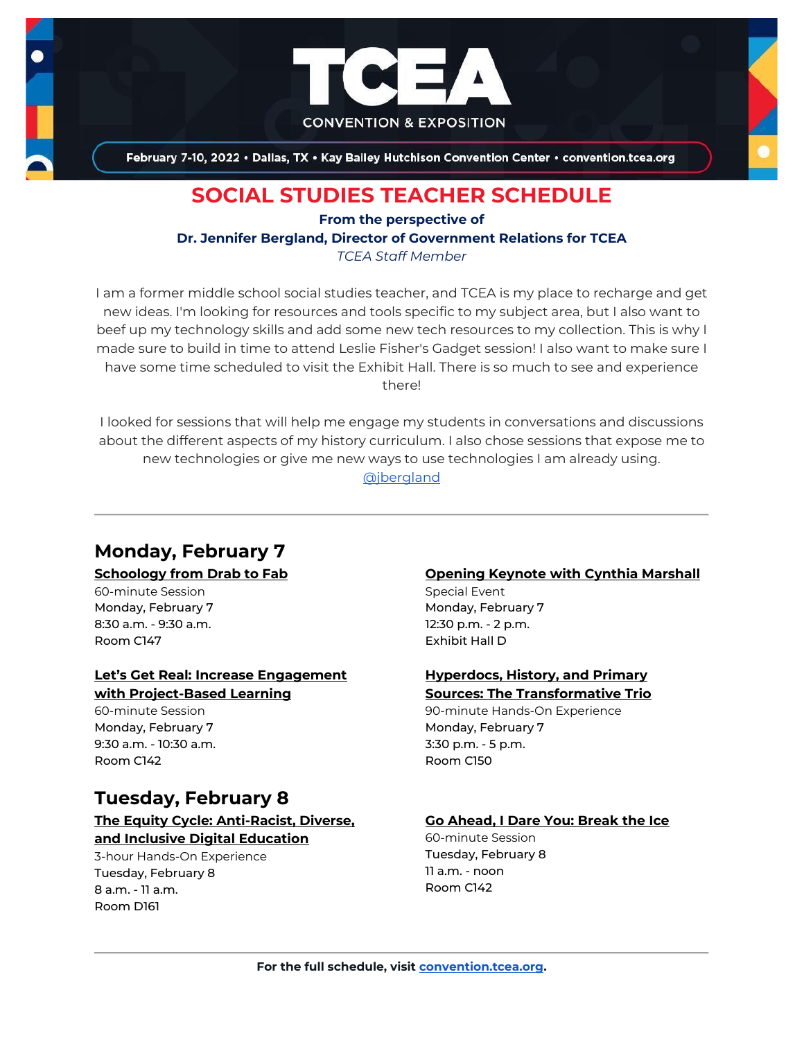

February 7-10, 2022 . Dallas, TX . Kay Bailey Hutchison Convention Center . convention.tcea.org

# **SOCIAL STUDIES TEACHER SCHEDULE**

**From the perspective of**

**Dr. Jennifer Bergland, Director of Government Relations for TCEA**

*TCEA Staff Member*

I am a former middle school social studies teacher, and TCEA is my place to recharge and get new ideas. I'm looking for resources and tools specific to my subject area, but I also want to beef up my technology skills and add some new tech resources to my collection. This is why I made sure to build in time to attend Leslie Fisher's Gadget session! I also want to make sure I have some time scheduled to visit the Exhibit Hall. There is so much to see and experience there!

I looked for sessions that will help me engage my students in conversations and discussions about the different aspects of my history curriculum. I also chose sessions that expose me to new technologies or give me new ways to use technologies I am already using. [@jbergland](https://twitter.com/jbergland)

# **Monday, February 7**

#### **[Schoology from Drab to Fab](https://register.tcea.org/2022/session_list.cfm?session_key=024005A8-F04D-A206-2B64-292538D3BAC2&session_date=Monday,%20Feb%2007,%202022)**

60-minute Session Monday, February 7 8:30 a.m. - 9:30 a.m. Room C147

### **[Let's Get Real: Increase Engagement](https://register.tcea.org/2022/session_list.cfm?session_key=023C7A7A-F04D-A206-2B64-6A58CDEC5321&session_date=Monday,%20Feb%2007,%202022)  [with Project-Based Learning](https://register.tcea.org/2022/session_list.cfm?session_key=023C7A7A-F04D-A206-2B64-6A58CDEC5321&session_date=Monday,%20Feb%2007,%202022)**

60-minute Session Monday, February 7 9:30 a.m. - 10:30 a.m. Room C142

# **Tuesday, February 8**

# **[The Equity Cycle: Anti-Racist, Diverse,](https://register.tcea.org/2022/session_list.cfm?session_key=C7D0EECE-F04D-A206-2B64-047DED2E344B&session_date=Tuesday,%20Feb%2008,%202022)**

**[and Inclusive Digital Education](https://register.tcea.org/2022/session_list.cfm?session_key=C7D0EECE-F04D-A206-2B64-047DED2E344B&session_date=Tuesday,%20Feb%2008,%202022)** 3-hour Hands-On Experience Tuesday, February 8 8 a.m. - 11 a.m. Room D161

#### **[Opening Keynote with Cynthia Marshall](https://register.tcea.org/2022/session_list.cfm?session_key=5F0745B8-F04D-A206-2B64-0D4631096E34&session_date=Monday,%20Feb%2007,%202022)**

Special Event Monday, February 7 12:30 p.m. - 2 p.m. Exhibit Hall D

#### **[Hyperdocs, History, and Primary](https://register.tcea.org/2022/session_list.cfm?session_key=0239E3D3-F04D-A206-2B64-6652B787B178&session_date=Monday,%20Feb%2007,%202022)  [Sources: The Transformative Trio](https://register.tcea.org/2022/session_list.cfm?session_key=0239E3D3-F04D-A206-2B64-6652B787B178&session_date=Monday,%20Feb%2007,%202022)**

90-minute Hands-On Experience Monday, February 7 3:30 p.m. - 5 p.m. Room C150

## **[Go Ahead, I Dare You: Break the Ice](https://register.tcea.org/2022/session_list.cfm?session_key=023897CA-F04D-A206-2B64-617FC29177A6&session_date=Tuesday,%20Feb%2008,%202022)**

60-minute Session Tuesday, February 8 11 a.m. - noon Room C142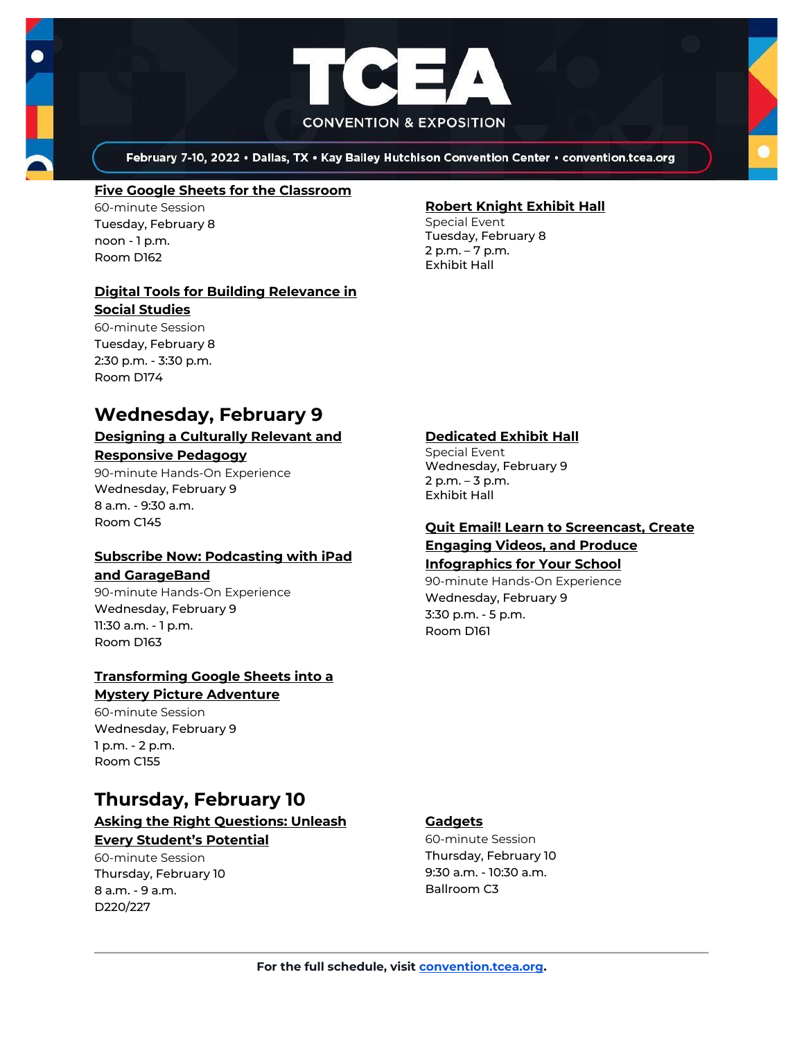



February 7-10, 2022 . Dallas, TX . Kay Bailey Hutchison Convention Center . convention.tcea.org

#### **[Five Google Sheets for the Classroom](https://register.tcea.org/2022/session_list.cfm?session_key=0237BEE6-F04D-A206-2B64-0F06411DB9A8&session_date=Tuesday,%20Feb%2008,%202022)**

60-minute Session Tuesday, February 8 noon - 1 p.m. Room D162

#### **[Digital Tools for Building Relevance in](https://register.tcea.org/2022/session_list.cfm?session_key=0236648E-F04D-A206-2B64-62535BDD4A64&session_date=Tuesday,%20Feb%2008,%202022)  [Social Studies](https://register.tcea.org/2022/session_list.cfm?session_key=0236648E-F04D-A206-2B64-62535BDD4A64&session_date=Tuesday,%20Feb%2008,%202022)**

60-minute Session Tuesday, February 8 2:30 p.m. - 3:30 p.m. Room D174

## **Wednesday, February 9**

### **[Designing a Culturally Relevant and](https://register.tcea.org/2022/session_list.cfm?session_key=61A1FC34-F04D-A206-2B64-00D3F0499C75&session_date=Wednesday,%20Feb%2009,%202022)  [Responsive Pedagogy](https://register.tcea.org/2022/session_list.cfm?session_key=61A1FC34-F04D-A206-2B64-00D3F0499C75&session_date=Wednesday,%20Feb%2009,%202022)**

90-minute Hands-On Experience Wednesday, February 9 8 a.m. - 9:30 a.m. Room C145

## **[Subscribe Now: Podcasting with iPad](https://register.tcea.org/2022/session_list.cfm?session_key=02418DA9-F04D-A206-2B64-E35DA017401E&session_date=Wednesday,%20Feb%2009,%202022)**

#### **[and GarageBand](https://register.tcea.org/2022/session_list.cfm?session_key=02418DA9-F04D-A206-2B64-E35DA017401E&session_date=Wednesday,%20Feb%2009,%202022)**

90-minute Hands-On Experience Wednesday, February 9 11:30 a.m. - 1 p.m. Room D163

### **[Transforming Google Sheets into a](https://register.tcea.org/2022/session_list.cfm?session_key=02438C04-F04D-A206-2B64-BE1E082240D8&session_date=Wednesday,%20Feb%2009,%202022)  [Mystery Picture Adventure](https://register.tcea.org/2022/session_list.cfm?session_key=02438C04-F04D-A206-2B64-BE1E082240D8&session_date=Wednesday,%20Feb%2009,%202022)**

60-minute Session Wednesday, February 9 1 p.m. - 2 p.m. Room C155

# **Thursday, February 10**

## **[Asking the Right Questions: Unleash](https://register.tcea.org/2022/session_list.cfm?session_key=0231385F-F04D-A206-2B64-5EA11CC4CB7C&session_date=Thursday,%20Feb%2010,%202022)  [Every Student's Potential](https://register.tcea.org/2022/session_list.cfm?session_key=0231385F-F04D-A206-2B64-5EA11CC4CB7C&session_date=Thursday,%20Feb%2010,%202022)**

60-minute Session Thursday, February 10 8 a.m. - 9 a.m. D220/227

## **[Robert Knight Exhibit Hall](https://register.tcea.org/2022/session_list.cfm?session_key=61CDF249-F04D-A206-2B64-15D6559D2515&session_date=Tuesday,%20Feb%2008,%202022)**

Special Event Tuesday, February 8 2 p.m. – 7 p.m. Exhibit Hall

### **[Dedicated Exhibit Hall](https://register.tcea.org/2022/session_list.cfm?session_key=61CDD8E6-F04D-A206-2B64-74AAAD8173D7&session_date=Wednesday,%20Feb%2009,%202022)**

Special Event Wednesday, February 9 2 p.m. – 3 p.m. Exhibit Hall

### **[Quit Email! Learn to Screencast, Create](https://register.tcea.org/2022/session_list.cfm?session_key=023F2B3B-F04D-A206-2B64-620ADFE8A551&session_date=Wednesday,%20Feb%2009,%202022)  [Engaging Videos, and Produce](https://register.tcea.org/2022/session_list.cfm?session_key=023F2B3B-F04D-A206-2B64-620ADFE8A551&session_date=Wednesday,%20Feb%2009,%202022)  [Infographics for Your School](https://register.tcea.org/2022/session_list.cfm?session_key=023F2B3B-F04D-A206-2B64-620ADFE8A551&session_date=Wednesday,%20Feb%2009,%202022)**

90-minute Hands-On Experience Wednesday, February 9 3:30 p.m. - 5 p.m. Room D161

### **[Gadgets](https://register.tcea.org/2022/session_list.cfm?session_key=6274CC80-F04D-A206-2B64-30D07676177F&session_date=Thursday,%20Feb%2010,%202022)**

60-minute Session Thursday, February 10 9:30 a.m. - 10:30 a.m. Ballroom C3